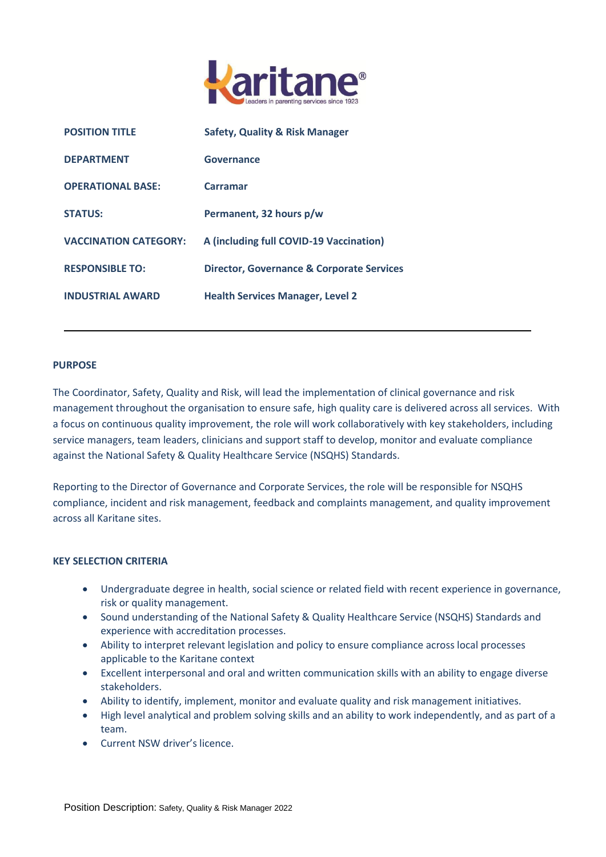

| <b>POSITION TITLE</b>        | <b>Safety, Quality &amp; Risk Manager</b>            |
|------------------------------|------------------------------------------------------|
| <b>DEPARTMENT</b>            | Governance                                           |
| <b>OPERATIONAL BASE:</b>     | Carramar                                             |
| <b>STATUS:</b>               | Permanent, 32 hours p/w                              |
| <b>VACCINATION CATEGORY:</b> | A (including full COVID-19 Vaccination)              |
| <b>RESPONSIBLE TO:</b>       | <b>Director, Governance &amp; Corporate Services</b> |
| <b>INDUSTRIAL AWARD</b>      | <b>Health Services Manager, Level 2</b>              |

## **PURPOSE**

The Coordinator, Safety, Quality and Risk, will lead the implementation of clinical governance and risk management throughout the organisation to ensure safe, high quality care is delivered across all services. With a focus on continuous quality improvement, the role will work collaboratively with key stakeholders, including service managers, team leaders, clinicians and support staff to develop, monitor and evaluate compliance against the National Safety & Quality Healthcare Service (NSQHS) Standards.

Reporting to the Director of Governance and Corporate Services, the role will be responsible for NSQHS compliance, incident and risk management, feedback and complaints management, and quality improvement across all Karitane sites.

## **KEY SELECTION CRITERIA**

- Undergraduate degree in health, social science or related field with recent experience in governance, risk or quality management.
- Sound understanding of the National Safety & Quality Healthcare Service (NSQHS) Standards and experience with accreditation processes.
- Ability to interpret relevant legislation and policy to ensure compliance across local processes applicable to the Karitane context
- Excellent interpersonal and oral and written communication skills with an ability to engage diverse stakeholders.
- Ability to identify, implement, monitor and evaluate quality and risk management initiatives.
- High level analytical and problem solving skills and an ability to work independently, and as part of a team.
- Current NSW driver's licence.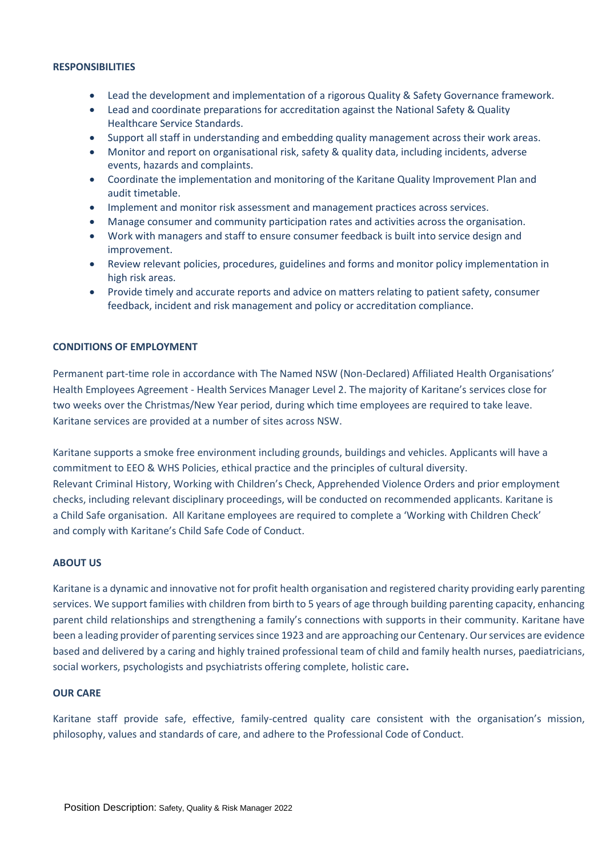## **RESPONSIBILITIES**

- Lead the development and implementation of a rigorous Quality & Safety Governance framework.
- Lead and coordinate preparations for accreditation against the National Safety & Quality Healthcare Service Standards.
- Support all staff in understanding and embedding quality management across their work areas.
- Monitor and report on organisational risk, safety & quality data, including incidents, adverse events, hazards and complaints.
- Coordinate the implementation and monitoring of the Karitane Quality Improvement Plan and audit timetable.
- Implement and monitor risk assessment and management practices across services.
- Manage consumer and community participation rates and activities across the organisation.
- Work with managers and staff to ensure consumer feedback is built into service design and improvement.
- Review relevant policies, procedures, guidelines and forms and monitor policy implementation in high risk areas.
- Provide timely and accurate reports and advice on matters relating to patient safety, consumer feedback, incident and risk management and policy or accreditation compliance.

## **CONDITIONS OF EMPLOYMENT**

Permanent part-time role in accordance with The Named NSW (Non-Declared) Affiliated Health Organisations' Health Employees Agreement - Health Services Manager Level 2. The majority of Karitane's services close for two weeks over the Christmas/New Year period, during which time employees are required to take leave. Karitane services are provided at a number of sites across NSW.

Karitane supports a smoke free environment including grounds, buildings and vehicles. Applicants will have a commitment to EEO & WHS Policies, ethical practice and the principles of cultural diversity. Relevant Criminal History, Working with Children's Check, Apprehended Violence Orders and prior employment checks, including relevant disciplinary proceedings, will be conducted on recommended applicants. Karitane is a Child Safe organisation. All Karitane employees are required to complete a 'Working with Children Check' and comply with Karitane's Child Safe Code of Conduct.

#### **ABOUT US**

Karitane is a dynamic and innovative not for profit health organisation and registered charity providing early parenting services. We support families with children from birth to 5 years of age through building parenting capacity, enhancing parent child relationships and strengthening a family's connections with supports in their community. Karitane have been a leading provider of parenting services since 1923 and are approaching our Centenary. Our services are evidence based and delivered by a caring and highly trained professional team of child and family health nurses, paediatricians, social workers, psychologists and psychiatrists offering complete, holistic care**.**

### **OUR CARE**

Karitane staff provide safe, effective, family-centred quality care consistent with the organisation's mission, philosophy, values and standards of care, and adhere to the Professional Code of Conduct.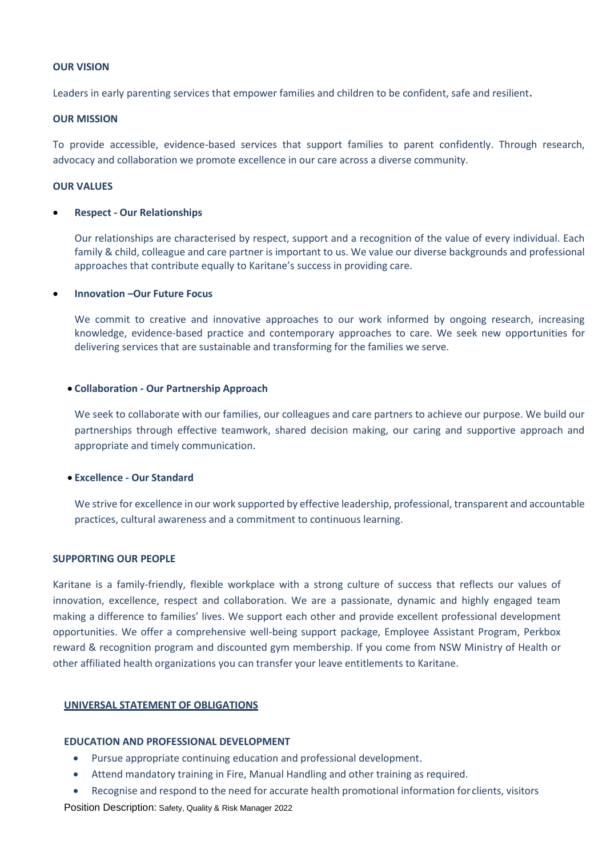## **OUR VISION**

Leaders in early parenting services that empower families and children to be confident, safe and resilient**.** 

## **OUR MISSION**

To provide accessible, evidence-based services that support families to parent confidently. Through research, advocacy and collaboration we promote excellence in our care across a diverse community.

### **OUR VALUES**

#### **Respect - Our Relationships**

Our relationships are characterised by respect, support and a recognition of the value of every individual. Each family & child, colleague and care partner is important to us. We value our diverse backgrounds and professional approaches that contribute equally to Karitane's success in providing care.

#### **Innovation –Our Future Focus**

We commit to creative and innovative approaches to our work informed by ongoing research, increasing knowledge, evidence-based practice and contemporary approaches to care. We seek new opportunities for delivering services that are sustainable and transforming for the families we serve.

#### **Collaboration - Our Partnership Approach**

We seek to collaborate with our families, our colleagues and care partners to achieve our purpose. We build our partnerships through effective teamwork, shared decision making, our caring and supportive approach and appropriate and timely communication.

#### **Excellence - Our Standard**

We strive for excellence in our work supported by effective leadership, professional, transparent and accountable practices, cultural awareness and a commitment to continuous learning.

#### **SUPPORTING OUR PEOPLE**

Karitane is a family-friendly, flexible workplace with a strong culture of success that reflects our values of innovation, excellence, respect and collaboration. We are a passionate, dynamic and highly engaged team making a difference to families' lives. We support each other and provide excellent professional development opportunities. We offer a comprehensive well-being support package, Employee Assistant Program, Perkbox reward & recognition program and discounted gym membership. If you come from NSW Ministry of Health or other affiliated health organizations you can transfer your leave entitlements to Karitane.

#### **UNIVERSAL STATEMENT OF OBLIGATIONS**

## **EDUCATION AND PROFESSIONAL DEVELOPMENT**

- Pursue appropriate continuing education and professional development.
- Attend mandatory training in Fire, Manual Handling and other training as required.
- Recognise and respond to the need for accurate health promotional information for clients, visitors

Position Description: Safety, Quality & Risk Manager 2022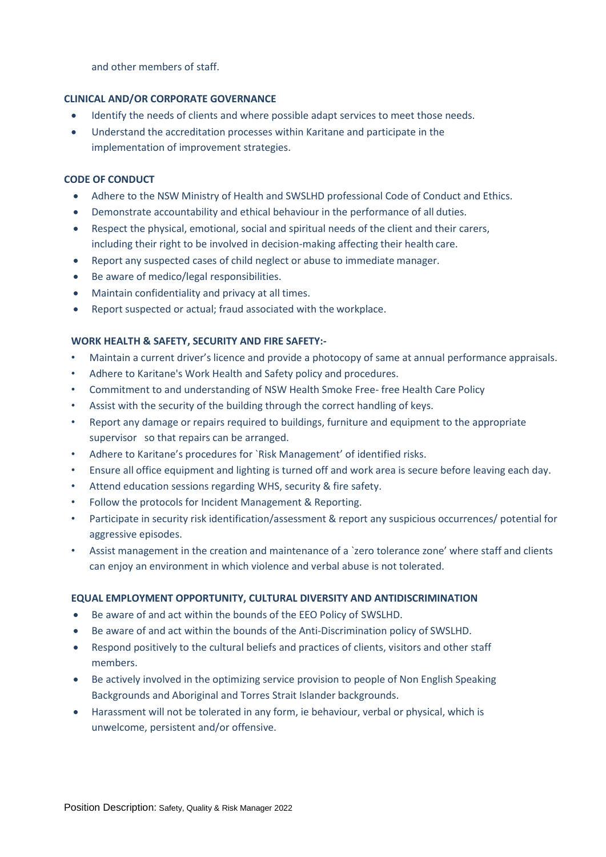and other members of staff.

## **CLINICAL AND/OR CORPORATE GOVERNANCE**

- Identify the needs of clients and where possible adapt services to meet those needs.
- Understand the accreditation processes within Karitane and participate in the implementation of improvement strategies.

# **CODE OF CONDUCT**

- Adhere to the NSW Ministry of Health and SWSLHD professional Code of Conduct and Ethics.
- Demonstrate accountability and ethical behaviour in the performance of all duties.
- Respect the physical, emotional, social and spiritual needs of the client and their carers, including their right to be involved in decision-making affecting their health care.
- Report any suspected cases of child neglect or abuse to immediate manager.
- Be aware of medico/legal responsibilities.
- Maintain confidentiality and privacy at all times.
- Report suspected or actual; fraud associated with the workplace.

# **WORK HEALTH & SAFETY, SECURITY AND FIRE SAFETY:-**

- Maintain a current driver's licence and provide a photocopy of same at annual performance appraisals.
- Adhere to Karitane's Work Health and Safety policy and procedures.
- Commitment to and understanding of NSW Health Smoke Free- free Health Care Policy
- Assist with the security of the building through the correct handling of keys.
- Report any damage or repairs required to buildings, furniture and equipment to the appropriate supervisor so that repairs can be arranged.
- Adhere to Karitane's procedures for `Risk Management' of identified risks.
- Ensure all office equipment and lighting is turned off and work area is secure before leaving each day.
- Attend education sessions regarding WHS, security & fire safety.
- Follow the protocols for Incident Management & Reporting.
- Participate in security risk identification/assessment & report any suspicious occurrences/ potential for aggressive episodes.
- Assist management in the creation and maintenance of a 'zero tolerance zone' where staff and clients can enjoy an environment in which violence and verbal abuse is not tolerated.

## **EQUAL EMPLOYMENT OPPORTUNITY, CULTURAL DIVERSITY AND ANTIDISCRIMINATION**

- Be aware of and act within the bounds of the EEO Policy of SWSLHD.
- Be aware of and act within the bounds of the Anti-Discrimination policy of SWSLHD.
- Respond positively to the cultural beliefs and practices of clients, visitors and other staff members.
- Be actively involved in the optimizing service provision to people of Non English Speaking Backgrounds and Aboriginal and Torres Strait Islander backgrounds.
- Harassment will not be tolerated in any form, ie behaviour, verbal or physical, which is unwelcome, persistent and/or offensive.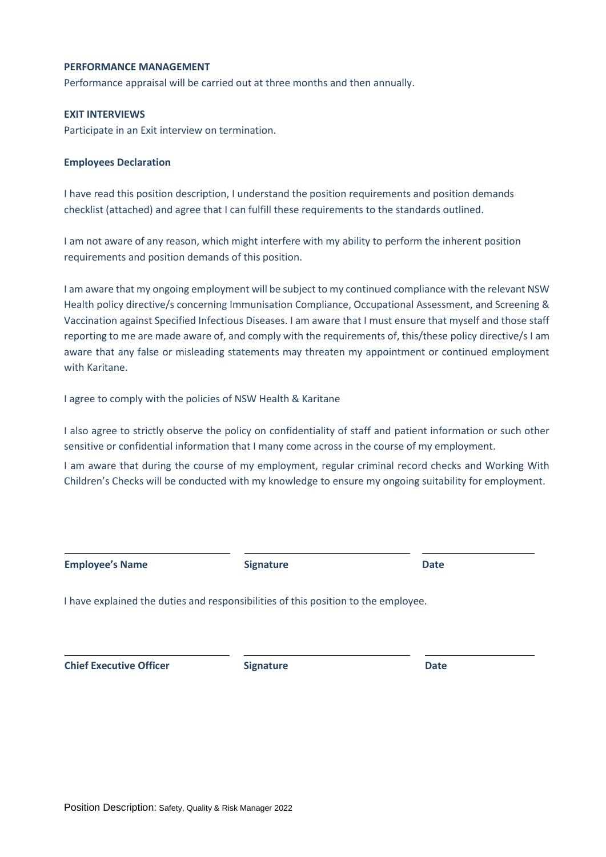### **PERFORMANCE MANAGEMENT**

Performance appraisal will be carried out at three months and then annually.

### **EXIT INTERVIEWS**

Participate in an Exit interview on termination.

### **Employees Declaration**

I have read this position description, I understand the position requirements and position demands checklist (attached) and agree that I can fulfill these requirements to the standards outlined.

I am not aware of any reason, which might interfere with my ability to perform the inherent position requirements and position demands of this position.

I am aware that my ongoing employment will be subject to my continued compliance with the relevant NSW Health policy directive/s concerning Immunisation Compliance, Occupational Assessment, and Screening & Vaccination against Specified Infectious Diseases. I am aware that I must ensure that myself and those staff reporting to me are made aware of, and comply with the requirements of, this/these policy directive/s I am aware that any false or misleading statements may threaten my appointment or continued employment with Karitane.

I agree to comply with the policies of NSW Health & Karitane

I also agree to strictly observe the policy on confidentiality of staff and patient information or such other sensitive or confidential information that I many come across in the course of my employment.

I am aware that during the course of my employment, regular criminal record checks and Working With Children's Checks will be conducted with my knowledge to ensure my ongoing suitability for employment.

| <b>Employee's Name</b>         | <b>Signature</b>                                                                   | <b>Date</b> |  |
|--------------------------------|------------------------------------------------------------------------------------|-------------|--|
|                                | I have explained the duties and responsibilities of this position to the employee. |             |  |
| <b>Chief Executive Officer</b> | <b>Signature</b>                                                                   | <b>Date</b> |  |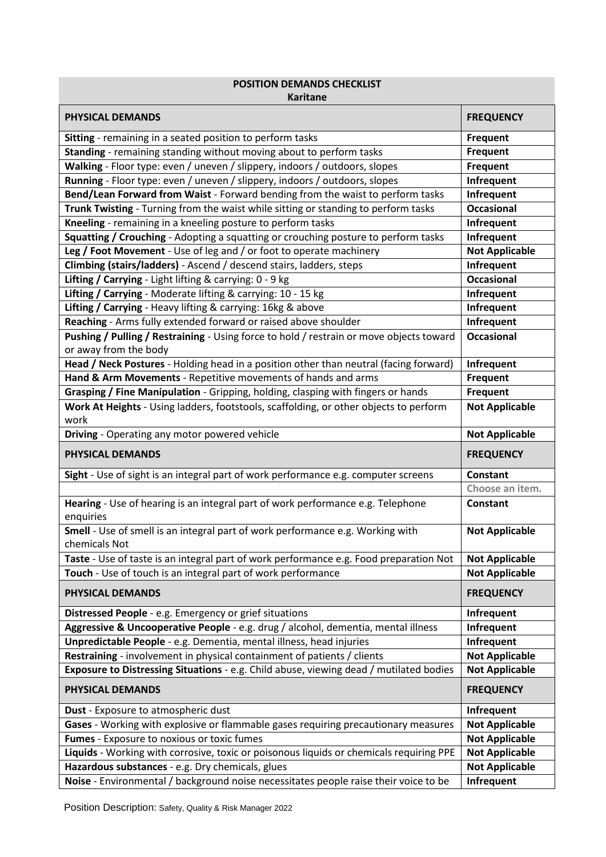|                                                                                                                                             | <b>POSITION DEMANDS CHECKLIST</b><br>Karitane  |  |  |  |
|---------------------------------------------------------------------------------------------------------------------------------------------|------------------------------------------------|--|--|--|
| <b>PHYSICAL DEMANDS</b>                                                                                                                     | <b>FREQUENCY</b>                               |  |  |  |
| Sitting - remaining in a seated position to perform tasks                                                                                   | Frequent                                       |  |  |  |
| Standing - remaining standing without moving about to perform tasks                                                                         | <b>Frequent</b>                                |  |  |  |
| Walking - Floor type: even / uneven / slippery, indoors / outdoors, slopes                                                                  | <b>Frequent</b>                                |  |  |  |
| Running - Floor type: even / uneven / slippery, indoors / outdoors, slopes                                                                  | Infrequent                                     |  |  |  |
| Bend/Lean Forward from Waist - Forward bending from the waist to perform tasks                                                              | Infrequent                                     |  |  |  |
| Trunk Twisting - Turning from the waist while sitting or standing to perform tasks                                                          | <b>Occasional</b>                              |  |  |  |
| Kneeling - remaining in a kneeling posture to perform tasks                                                                                 | Infrequent                                     |  |  |  |
| Squatting / Crouching - Adopting a squatting or crouching posture to perform tasks                                                          | Infrequent                                     |  |  |  |
| Leg / Foot Movement - Use of leg and / or foot to operate machinery                                                                         | <b>Not Applicable</b>                          |  |  |  |
| Climbing (stairs/ladders) - Ascend / descend stairs, ladders, steps                                                                         | Infrequent                                     |  |  |  |
| Lifting / Carrying - Light lifting & carrying: 0 - 9 kg                                                                                     | <b>Occasional</b>                              |  |  |  |
| Lifting / Carrying - Moderate lifting & carrying: 10 - 15 kg                                                                                | Infrequent                                     |  |  |  |
| Lifting / Carrying - Heavy lifting & carrying: 16kg & above                                                                                 | Infrequent                                     |  |  |  |
| Reaching - Arms fully extended forward or raised above shoulder                                                                             | Infrequent                                     |  |  |  |
| Pushing / Pulling / Restraining - Using force to hold / restrain or move objects toward<br>or away from the body                            | <b>Occasional</b>                              |  |  |  |
| Head / Neck Postures - Holding head in a position other than neutral (facing forward)                                                       | Infrequent                                     |  |  |  |
| Hand & Arm Movements - Repetitive movements of hands and arms                                                                               | <b>Frequent</b>                                |  |  |  |
| Grasping / Fine Manipulation - Gripping, holding, clasping with fingers or hands                                                            | <b>Frequent</b>                                |  |  |  |
| Work At Heights - Using ladders, footstools, scaffolding, or other objects to perform                                                       | <b>Not Applicable</b>                          |  |  |  |
| work                                                                                                                                        |                                                |  |  |  |
| Driving - Operating any motor powered vehicle                                                                                               | <b>Not Applicable</b>                          |  |  |  |
| <b>PHYSICAL DEMANDS</b>                                                                                                                     | <b>FREQUENCY</b>                               |  |  |  |
| Sight - Use of sight is an integral part of work performance e.g. computer screens                                                          | <b>Constant</b>                                |  |  |  |
|                                                                                                                                             | Choose an item.                                |  |  |  |
| Hearing - Use of hearing is an integral part of work performance e.g. Telephone<br>enquiries                                                | <b>Constant</b>                                |  |  |  |
| Smell - Use of smell is an integral part of work performance e.g. Working with<br>chemicals Not                                             | <b>Not Applicable</b>                          |  |  |  |
| Taste - Use of taste is an integral part of work performance e.g. Food preparation Not                                                      | <b>Not Applicable</b>                          |  |  |  |
|                                                                                                                                             |                                                |  |  |  |
|                                                                                                                                             |                                                |  |  |  |
| Touch - Use of touch is an integral part of work performance<br>PHYSICAL DEMANDS                                                            | <b>Not Applicable</b><br><b>FREQUENCY</b>      |  |  |  |
|                                                                                                                                             |                                                |  |  |  |
| Distressed People - e.g. Emergency or grief situations                                                                                      | Infrequent                                     |  |  |  |
| Aggressive & Uncooperative People - e.g. drug / alcohol, dementia, mental illness                                                           | Infrequent                                     |  |  |  |
| Unpredictable People - e.g. Dementia, mental illness, head injuries                                                                         | Infrequent                                     |  |  |  |
| Restraining - involvement in physical containment of patients / clients                                                                     | <b>Not Applicable</b>                          |  |  |  |
| Exposure to Distressing Situations - e.g. Child abuse, viewing dead / mutilated bodies<br>PHYSICAL DEMANDS                                  | <b>Not Applicable</b><br><b>FREQUENCY</b>      |  |  |  |
|                                                                                                                                             |                                                |  |  |  |
| Dust - Exposure to atmospheric dust                                                                                                         | Infrequent                                     |  |  |  |
| Gases - Working with explosive or flammable gases requiring precautionary measures                                                          | <b>Not Applicable</b>                          |  |  |  |
| Fumes - Exposure to noxious or toxic fumes                                                                                                  | <b>Not Applicable</b>                          |  |  |  |
| Liquids - Working with corrosive, toxic or poisonous liquids or chemicals requiring PPE<br>Hazardous substances - e.g. Dry chemicals, glues | <b>Not Applicable</b><br><b>Not Applicable</b> |  |  |  |